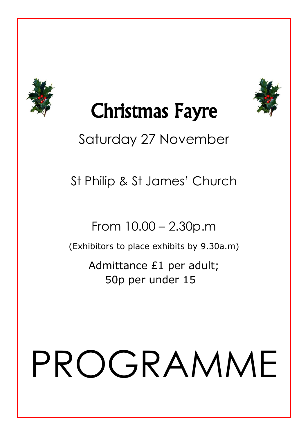



## Christmas Fayre

#### Saturday 27 November

St Philip & St James' Church

From 10.00 – 2.30p.m

(Exhibitors to place exhibits by 9.30a.m)

Admittance £1 per adult; 50p per under 15

# PROGRAMME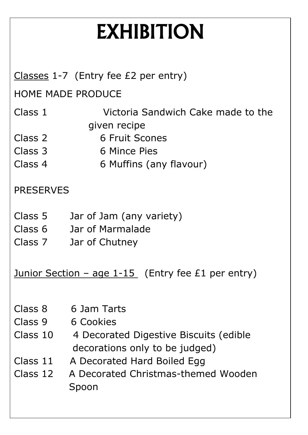## EXHIBITION

|                                                           | Classes $1-7$ (Entry fee $E2$ per entry)                                 |
|-----------------------------------------------------------|--------------------------------------------------------------------------|
| <b>HOME MADE PRODUCE</b>                                  |                                                                          |
| Class 1                                                   | Victoria Sandwich Cake made to the                                       |
|                                                           | given recipe                                                             |
| Class 2                                                   | <b>6 Fruit Scones</b>                                                    |
| Class 3                                                   | 6 Mince Pies                                                             |
| Class 4                                                   | 6 Muffins (any flavour)                                                  |
| <b>PRESERVES</b>                                          |                                                                          |
| Class 5                                                   | Jar of Jam (any variety)                                                 |
| Class 6                                                   | Jar of Marmalade                                                         |
| Class 7                                                   | Jar of Chutney                                                           |
| <u>Junior Section – age 1-15</u> (Entry fee £1 per entry) |                                                                          |
| Class 8                                                   | 6 Jam Tarts                                                              |
| Class 9                                                   | 6 Cookies                                                                |
| Class 10                                                  | 4 Decorated Digestive Biscuits (edible<br>decorations only to be judged) |
| Class 11                                                  | A Decorated Hard Boiled Egg                                              |
| Class 12                                                  | A Decorated Christmas-themed Wooden<br>Spoon                             |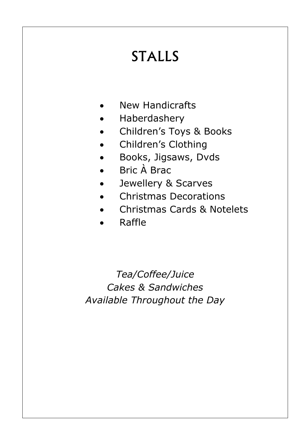### STALLS

- New Handicrafts
- Haberdashery
- Children's Toys & Books
- Children's Clothing
- Books, Jigsaws, Dvds
- Bric À Brac
- Jewellery & Scarves
- Christmas Decorations
- Christmas Cards & Notelets
- Raffle

*Tea/Coffee/Juice Cakes & Sandwiches Available Throughout the Day*